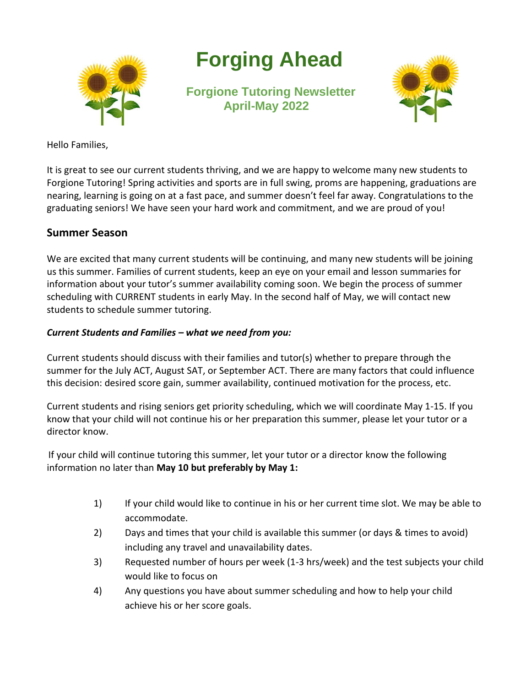

# **Forging Ahead**

**Forgione Tutoring Newsletter April-May 2022**



Hello Families,

It is great to see our current students thriving, and we are happy to welcome many new students to Forgione Tutoring! Spring activities and sports are in full swing, proms are happening, graduations are nearing, learning is going on at a fast pace, and summer doesn't feel far away. Congratulations to the graduating seniors! We have seen your hard work and commitment, and we are proud of you!

#### **Summer Season**

We are excited that many current students will be continuing, and many new students will be joining us this summer. Families of current students, keep an eye on your email and lesson summaries for information about your tutor's summer availability coming soon. We begin the process of summer scheduling with CURRENT students in early May. In the second half of May, we will contact new students to schedule summer tutoring.

#### *Current Students and Families – what we need from you:*

Current students should discuss with their families and tutor(s) whether to prepare through the summer for the July ACT, August SAT, or September ACT. There are many factors that could influence this decision: desired score gain, summer availability, continued motivation for the process, etc.

Current students and rising seniors get priority scheduling, which we will coordinate May 1-15. If you know that your child will not continue his or her preparation this summer, please let your tutor or a director know.

If your child will continue tutoring this summer, let your tutor or a director know the following information no later than **May 10 but preferably by May 1:**

- 1) If your child would like to continue in his or her current time slot. We may be able to accommodate.
- 2) Days and times that your child is available this summer (or days & times to avoid) including any travel and unavailability dates.
- 3) Requested number of hours per week (1-3 hrs/week) and the test subjects your child would like to focus on
- 4) Any questions you have about summer scheduling and how to help your child achieve his or her score goals.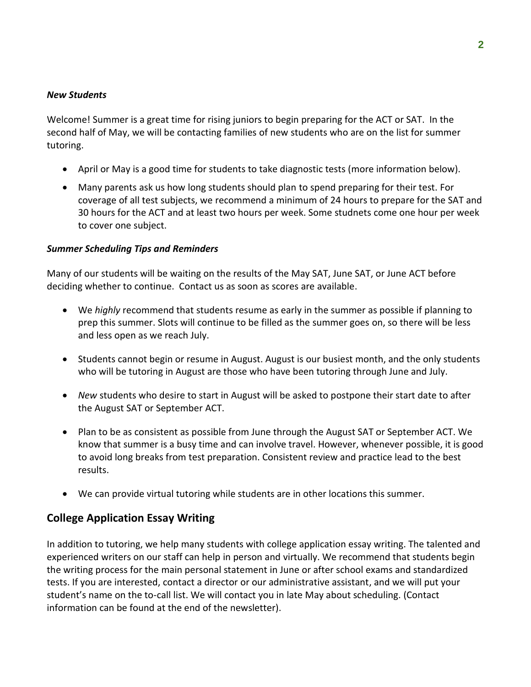#### *New Students*

Welcome! Summer is a great time for rising juniors to begin preparing for the ACT or SAT. In the second half of May, we will be contacting families of new students who are on the list for summer tutoring.

- April or May is a good time for students to take diagnostic tests (more information below).
- Many parents ask us how long students should plan to spend preparing for their test. For coverage of all test subjects, we recommend a minimum of 24 hours to prepare for the SAT and 30 hours for the ACT and at least two hours per week. Some studnets come one hour per week to cover one subject.

#### *Summer Scheduling Tips and Reminders*

Many of our students will be waiting on the results of the May SAT, June SAT, or June ACT before deciding whether to continue. Contact us as soon as scores are available.

- We *highly* recommend that students resume as early in the summer as possible if planning to prep this summer. Slots will continue to be filled as the summer goes on, so there will be less and less open as we reach July.
- Students cannot begin or resume in August. August is our busiest month, and the only students who will be tutoring in August are those who have been tutoring through June and July.
- *New* students who desire to start in August will be asked to postpone their start date to after the August SAT or September ACT.
- Plan to be as consistent as possible from June through the August SAT or September ACT. We know that summer is a busy time and can involve travel. However, whenever possible, it is good to avoid long breaks from test preparation. Consistent review and practice lead to the best results.
- We can provide virtual tutoring while students are in other locations this summer.

#### **College Application Essay Writing**

In addition to tutoring, we help many students with college application essay writing. The talented and experienced writers on our staff can help in person and virtually. We recommend that students begin the writing process for the main personal statement in June or after school exams and standardized tests. If you are interested, contact a director or our administrative assistant, and we will put your student's name on the to-call list. We will contact you in late May about scheduling. (Contact information can be found at the end of the newsletter).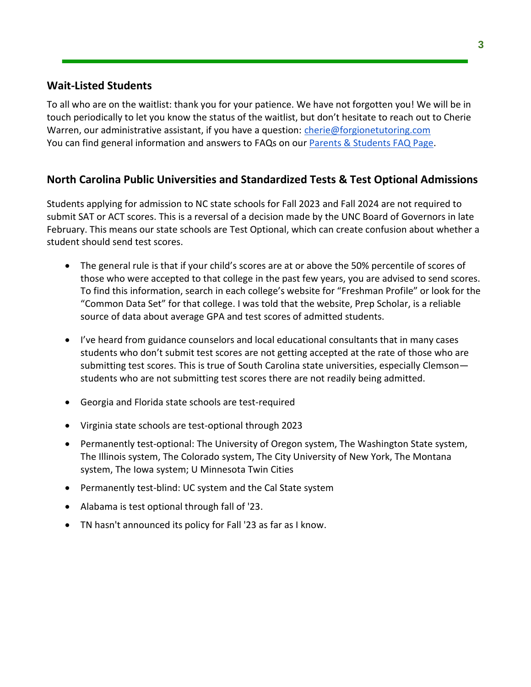#### **Wait-Listed Students**

To all who are on the waitlist: thank you for your patience. We have not forgotten you! We will be in touch periodically to let you know the status of the waitlist, but don't hesitate to reach out to Cherie Warren, our administrative assistant, if you have a question: [cherie@forgionetutoring.com](mailto:cherie@forgionetutoring.com) You can find general information and answers to FAQs on ou[r Parents & Students FAQ Page.](https://www.forgionetutoring.com/blog/parent-student-login/)

#### **North Carolina Public Universities and Standardized Tests & Test Optional Admissions**

Students applying for admission to NC state schools for Fall 2023 and Fall 2024 are not required to submit SAT or ACT scores. This is a reversal of a decision made by the UNC Board of Governors in late February. This means our state schools are Test Optional, which can create confusion about whether a student should send test scores.

- The general rule is that if your child's scores are at or above the 50% percentile of scores of those who were accepted to that college in the past few years, you are advised to send scores. To find this information, search in each college's website for "Freshman Profile" or look for the "Common Data Set" for that college. I was told that the website, Prep Scholar, is a reliable source of data about average GPA and test scores of admitted students.
- I've heard from guidance counselors and local educational consultants that in many cases students who don't submit test scores are not getting accepted at the rate of those who are submitting test scores. This is true of South Carolina state universities, especially Clemson students who are not submitting test scores there are not readily being admitted.
- Georgia and Florida state schools are test-required
- Virginia state schools are test-optional through 2023
- Permanently test-optional: The University of Oregon system, The Washington State system, The Illinois system, The Colorado system, The City University of New York, The Montana system, The Iowa system; U Minnesota Twin Cities
- Permanently test-blind: UC system and the Cal State system
- Alabama is test optional through fall of '23.
- TN hasn't announced its policy for Fall '23 as far as I know.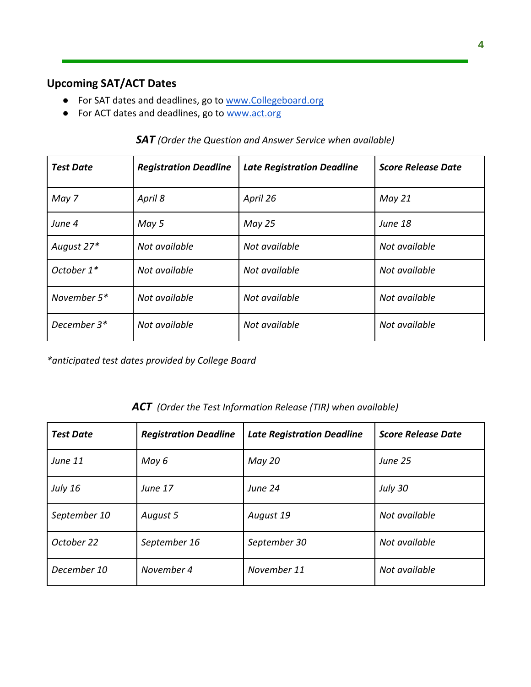# **Upcoming SAT/ACT Dates**

- For SAT dates and deadlines, go to [www.Collegeboard.org](http://www.collegeboard.org/)
- For ACT dates and deadlines, go to [www.act.org](http://www.act.org/)

|  |  |  | $\mathsf{SAT}$ (Order the Question and Answer Service when available) |  |  |  |
|--|--|--|-----------------------------------------------------------------------|--|--|--|
|--|--|--|-----------------------------------------------------------------------|--|--|--|

| <b>Test Date</b> | <b>Registration Deadline</b> | <b>Late Registration Deadline</b> | <b>Score Release Date</b> |
|------------------|------------------------------|-----------------------------------|---------------------------|
| May 7            | April 8                      | April 26                          | May 21                    |
| June 4           | May 5                        | <b>May 25</b>                     | <b>June 18</b>            |
| August 27*       | Not available                | Not available                     | Not available             |
| October 1*       | Not available                | Not available                     | Not available             |
| November 5*      | Not available                | Not available                     | Not available             |
| December 3*      | Not available                | Not available                     | Not available             |

*\*anticipated test dates provided by College Board*

#### *ACT (Order the Test Information Release (TIR) when available)*

| <b>Test Date</b> | <b>Registration Deadline</b> | <b>Late Registration Deadline</b> | <b>Score Release Date</b> |
|------------------|------------------------------|-----------------------------------|---------------------------|
| June 11          | May 6                        | May 20                            | <b>June 25</b>            |
| <b>July 16</b>   | <b>June 17</b>               | June 24                           | July 30                   |
| September 10     | August 5                     | August 19                         | Not available             |
| October 22       | September 16                 | September 30                      | Not available             |
| December 10      | November 4                   | November 11                       | Not available             |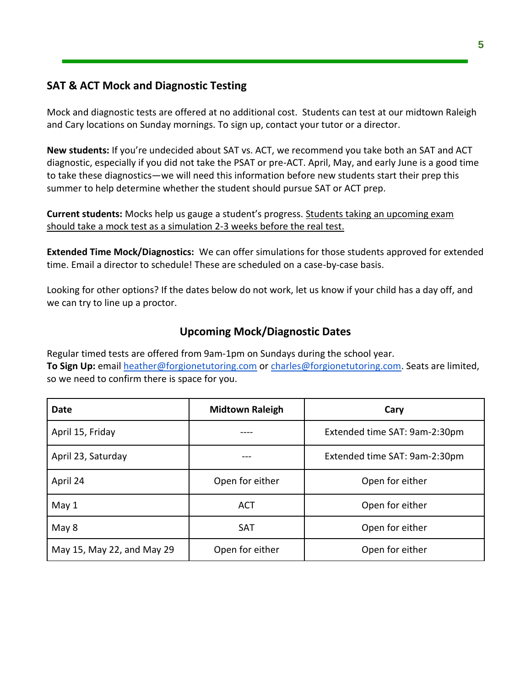#### **SAT & ACT Mock and Diagnostic Testing**

Mock and diagnostic tests are offered at no additional cost. Students can test at our midtown Raleigh and Cary locations on Sunday mornings. To sign up, contact your tutor or a director.

**New students:** If you're undecided about SAT vs. ACT, we recommend you take both an SAT and ACT diagnostic, especially if you did not take the PSAT or pre-ACT. April, May, and early June is a good time to take these diagnostics—we will need this information before new students start their prep this summer to help determine whether the student should pursue SAT or ACT prep.

**Current students:** Mocks help us gauge a student's progress. Students taking an upcoming exam should take a mock test as a simulation 2-3 weeks before the real test.

**Extended Time Mock/Diagnostics:** We can offer simulations for those students approved for extended time. Email a director to schedule! These are scheduled on a case-by-case basis.

Looking for other options? If the dates below do not work, let us know if your child has a day off, and we can try to line up a proctor.

# **Upcoming Mock/Diagnostic Dates**

Regular timed tests are offered from 9am-1pm on Sundays during the school year. **To Sign Up:** email [heather@forgionetutoring.com](mailto:heather@forgionetutoring.com) or [charles@forgionetutoring.com.](mailto:april@forgionetutoring.com) Seats are limited, so we need to confirm there is space for you.

| Date                       | <b>Midtown Raleigh</b> | Cary                          |  |
|----------------------------|------------------------|-------------------------------|--|
| April 15, Friday           |                        | Extended time SAT: 9am-2:30pm |  |
| April 23, Saturday         |                        | Extended time SAT: 9am-2:30pm |  |
| April 24                   | Open for either        | Open for either               |  |
| May 1                      | ACT                    | Open for either               |  |
| May 8                      | <b>SAT</b>             | Open for either               |  |
| May 15, May 22, and May 29 | Open for either        | Open for either               |  |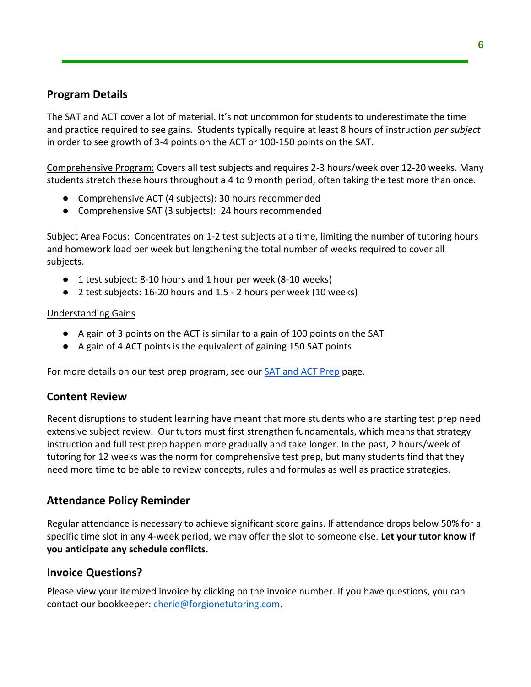#### **Program Details**

The SAT and ACT cover a lot of material. It's not uncommon for students to underestimate the time and practice required to see gains. Students typically require at least 8 hours of instruction *per subject* in order to see growth of 3-4 points on the ACT or 100-150 points on the SAT.

Comprehensive Program: Covers all test subjects and requires 2-3 hours/week over 12-20 weeks. Many students stretch these hours throughout a 4 to 9 month period, often taking the test more than once.

- Comprehensive ACT (4 subjects): 30 hours recommended
- Comprehensive SAT (3 subjects): 24 hours recommended

Subject Area Focus: Concentrates on 1-2 test subjects at a time, limiting the number of tutoring hours and homework load per week but lengthening the total number of weeks required to cover all subjects.

- 1 test subject: 8-10 hours and 1 hour per week (8-10 weeks)
- 2 test subjects: 16-20 hours and 1.5 2 hours per week (10 weeks)

#### Understanding Gains

- A gain of 3 points on the ACT is similar to a gain of 100 points on the SAT
- A gain of 4 ACT points is the equivalent of gaining 150 SAT points

For more details on our test prep program, see our **SAT** and ACT Prep page.

# **Content Review**

Recent disruptions to student learning have meant that more students who are starting test prep need extensive subject review. Our tutors must first strengthen fundamentals, which means that strategy instruction and full test prep happen more gradually and take longer. In the past, 2 hours/week of tutoring for 12 weeks was the norm for comprehensive test prep, but many students find that they need more time to be able to review concepts, rules and formulas as well as practice strategies.

# **Attendance Policy Reminder**

Regular attendance is necessary to achieve significant score gains. If attendance drops below 50% for a specific time slot in any 4-week period, we may offer the slot to someone else. **Let your tutor know if you anticipate any schedule conflicts.**

#### **Invoice Questions?**

Please view your itemized invoice by clicking on the invoice number. If you have questions, you can contact our bookkeeper: [cherie@forgionetutoring.com.](mailto:cherie@forgionetutoring.com)